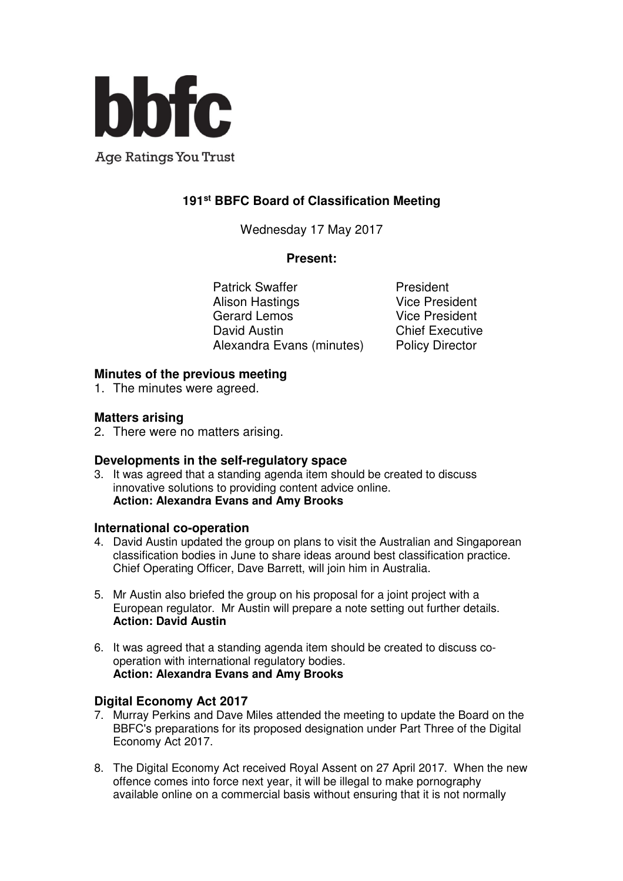

**Age Ratings You Trust** 

# **191st BBFC Board of Classification Meeting**

Wednesday 17 May 2017

#### **Present:**

Patrick Swaffer **President** Alison Hastings **Vice President** Gerard Lemos Vice President David Austin **Chief Executive** Alexandra Evans (minutes) Policy Director

## **Minutes of the previous meeting**

1. The minutes were agreed.

## **Matters arising**

2. There were no matters arising.

#### **Developments in the self-regulatory space**

3. It was agreed that a standing agenda item should be created to discuss innovative solutions to providing content advice online. **Action: Alexandra Evans and Amy Brooks** 

#### **International co-operation**

- 4. David Austin updated the group on plans to visit the Australian and Singaporean classification bodies in June to share ideas around best classification practice. Chief Operating Officer, Dave Barrett, will join him in Australia.
- 5. Mr Austin also briefed the group on his proposal for a joint project with a European regulator. Mr Austin will prepare a note setting out further details. **Action: David Austin**
- 6. It was agreed that a standing agenda item should be created to discuss cooperation with international regulatory bodies. **Action: Alexandra Evans and Amy Brooks**

## **Digital Economy Act 2017**

- 7. Murray Perkins and Dave Miles attended the meeting to update the Board on the BBFC's preparations for its proposed designation under Part Three of the Digital Economy Act 2017.
- 8. The Digital Economy Act received Royal Assent on 27 April 2017. When the new offence comes into force next year, it will be illegal to make pornography available online on a commercial basis without ensuring that it is not normally